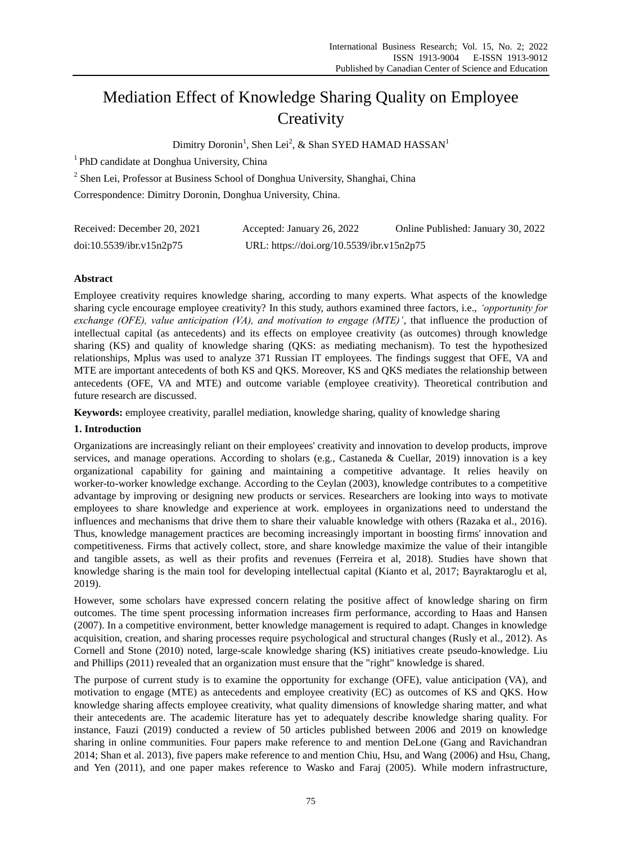# Mediation Effect of Knowledge Sharing Quality on Employee **Creativity**

Dimitry Doronin<sup>1</sup>, Shen Lei<sup>2</sup>, & Shan SYED HAMAD HASSAN<sup>1</sup>

<sup>1</sup> PhD candidate at Donghua University, China

<sup>2</sup> Shen Lei, Professor at Business School of Donghua University, Shanghai, China

Correspondence: Dimitry Doronin, Donghua University, China.

| Received: December 20, 2021 | Accepted: January 26, 2022                | Online Published: January 30, 2022 |
|-----------------------------|-------------------------------------------|------------------------------------|
| doi:10.5539/ibr.v15n2p75    | URL: https://doi.org/10.5539/ibr.v15n2p75 |                                    |

# **Abstract**

Employee creativity requires knowledge sharing, according to many experts. What aspects of the knowledge sharing cycle encourage employee creativity? In this study, authors examined three factors, i.e., *"opportunity for exchange (OFE), value anticipation (VA), and motivation to engage (MTE)"*, that influence the production of intellectual capital (as antecedents) and its effects on employee creativity (as outcomes) through knowledge sharing (KS) and quality of knowledge sharing (QKS: as mediating mechanism). To test the hypothesized relationships, Mplus was used to analyze 371 Russian IT employees. The findings suggest that OFE, VA and MTE are important antecedents of both KS and QKS. Moreover, KS and QKS mediates the relationship between antecedents (OFE, VA and MTE) and outcome variable (employee creativity). Theoretical contribution and future research are discussed.

**Keywords:** employee creativity, parallel mediation, knowledge sharing, quality of knowledge sharing

# **1. Introduction**

Organizations are increasingly reliant on their employees' creativity and innovation to develop products, improve services, and manage operations. According to sholars (e.g., Castaneda & Cuellar, 2019) innovation is a key organizational capability for gaining and maintaining a competitive advantage. It relies heavily on worker-to-worker knowledge exchange. According to the Ceylan (2003), knowledge contributes to a competitive advantage by improving or designing new products or services. Researchers are looking into ways to motivate employees to share knowledge and experience at work. employees in organizations need to understand the influences and mechanisms that drive them to share their valuable knowledge with others (Razaka et al., 2016). Thus, knowledge management practices are becoming increasingly important in boosting firms' innovation and competitiveness. Firms that actively collect, store, and share knowledge maximize the value of their intangible and tangible assets, as well as their profits and revenues (Ferreira et al, 2018). Studies have shown that knowledge sharing is the main tool for developing intellectual capital (Kianto et al, 2017; Bayraktaroglu et al, 2019).

However, some scholars have expressed concern relating the positive affect of knowledge sharing on firm outcomes. The time spent processing information increases firm performance, according to Haas and Hansen (2007). In a competitive environment, better knowledge management is required to adapt. Changes in knowledge acquisition, creation, and sharing processes require psychological and structural changes (Rusly et al., 2012). As Cornell and Stone (2010) noted, large-scale knowledge sharing (KS) initiatives create pseudo-knowledge. Liu and Phillips (2011) revealed that an organization must ensure that the "right" knowledge is shared.

The purpose of current study is to examine the opportunity for exchange (OFE), value anticipation (VA), and motivation to engage (MTE) as antecedents and employee creativity (EC) as outcomes of KS and QKS. How knowledge sharing affects employee creativity, what quality dimensions of knowledge sharing matter, and what their antecedents are. The academic literature has yet to adequately describe knowledge sharing quality. For instance, Fauzi (2019) conducted a review of 50 articles published between 2006 and 2019 on knowledge sharing in online communities. Four papers make reference to and mention DeLone (Gang and Ravichandran 2014; Shan et al. 2013), five papers make reference to and mention Chiu, Hsu, and Wang (2006) and Hsu, Chang, and Yen (2011), and one paper makes reference to Wasko and Faraj (2005). While modern infrastructure,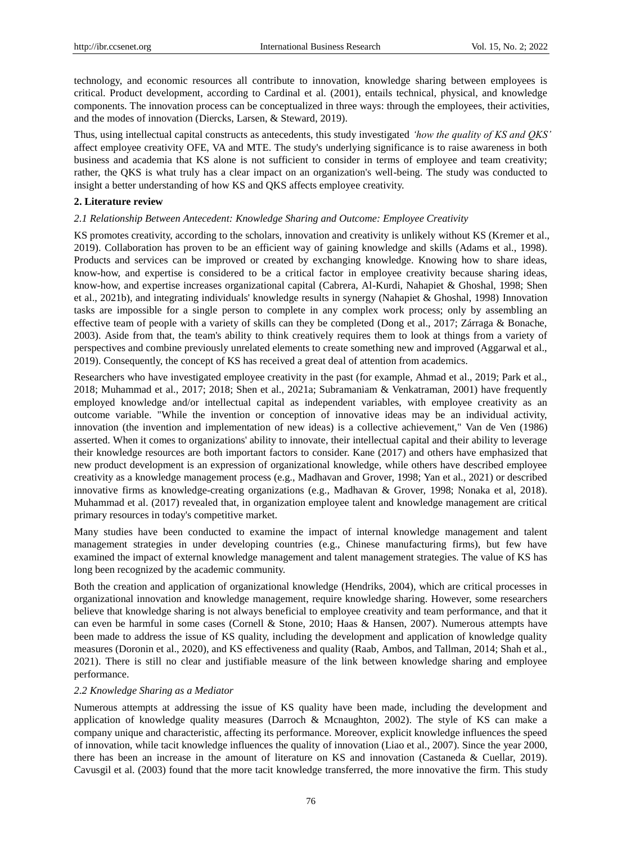technology, and economic resources all contribute to innovation, knowledge sharing between employees is critical. Product development, according to Cardinal et al. (2001), entails technical, physical, and knowledge components. The innovation process can be conceptualized in three ways: through the employees, their activities, and the modes of innovation (Diercks, Larsen, & Steward, 2019).

Thus, using intellectual capital constructs as antecedents, this study investigated *"how the quality of KS and QKS"* affect employee creativity OFE, VA and MTE. The study's underlying significance is to raise awareness in both business and academia that KS alone is not sufficient to consider in terms of employee and team creativity; rather, the QKS is what truly has a clear impact on an organization's well-being. The study was conducted to insight a better understanding of how KS and QKS affects employee creativity.

# **2. Literature review**

## *2.1 Relationship Between Antecedent: Knowledge Sharing and Outcome: Employee Creativity*

KS promotes creativity, according to the scholars, innovation and creativity is unlikely without KS (Kremer et al., 2019). Collaboration has proven to be an efficient way of gaining knowledge and skills (Adams et al., 1998). Products and services can be improved or created by exchanging knowledge. Knowing how to share ideas, know-how, and expertise is considered to be a critical factor in employee creativity because sharing ideas, know-how, and expertise increases organizational capital (Cabrera, Al-Kurdi, Nahapiet & Ghoshal, 1998; Shen et al., 2021b), and integrating individuals' knowledge results in synergy (Nahapiet & Ghoshal, 1998) Innovation tasks are impossible for a single person to complete in any complex work process; only by assembling an effective team of people with a variety of skills can they be completed (Dong et al., 2017; Zárraga & Bonache, 2003). Aside from that, the team's ability to think creatively requires them to look at things from a variety of perspectives and combine previously unrelated elements to create something new and improved (Aggarwal et al., 2019). Consequently, the concept of KS has received a great deal of attention from academics.

Researchers who have investigated employee creativity in the past (for example, Ahmad et al., 2019; Park et al., 2018; Muhammad et al., 2017; 2018; Shen et al., 2021a; Subramaniam & Venkatraman, 2001) have frequently employed knowledge and/or intellectual capital as independent variables, with employee creativity as an outcome variable. "While the invention or conception of innovative ideas may be an individual activity, innovation (the invention and implementation of new ideas) is a collective achievement," Van de Ven (1986) asserted. When it comes to organizations' ability to innovate, their intellectual capital and their ability to leverage their knowledge resources are both important factors to consider. Kane (2017) and others have emphasized that new product development is an expression of organizational knowledge, while others have described employee creativity as a knowledge management process (e.g., Madhavan and Grover, 1998; Yan et al., 2021) or described innovative firms as knowledge-creating organizations (e.g., Madhavan & Grover, 1998; Nonaka et al, 2018). Muhammad et al. (2017) revealed that, in organization employee talent and knowledge management are critical primary resources in today's competitive market.

Many studies have been conducted to examine the impact of internal knowledge management and talent management strategies in under developing countries (e.g., Chinese manufacturing firms), but few have examined the impact of external knowledge management and talent management strategies. The value of KS has long been recognized by the academic community.

Both the creation and application of organizational knowledge (Hendriks, 2004), which are critical processes in organizational innovation and knowledge management, require knowledge sharing. However, some researchers believe that knowledge sharing is not always beneficial to employee creativity and team performance, and that it can even be harmful in some cases (Cornell & Stone, 2010; Haas & Hansen, 2007). Numerous attempts have been made to address the issue of KS quality, including the development and application of knowledge quality measures (Doronin et al., 2020), and KS effectiveness and quality (Raab, Ambos, and Tallman, 2014; Shah et al., 2021). There is still no clear and justifiable measure of the link between knowledge sharing and employee performance.

#### *2.2 Knowledge Sharing as a Mediator*

Numerous attempts at addressing the issue of KS quality have been made, including the development and application of knowledge quality measures (Darroch & Mcnaughton, 2002). The style of KS can make a company unique and characteristic, affecting its performance. Moreover, explicit knowledge influences the speed of innovation, while tacit knowledge influences the quality of innovation (Liao et al., 2007). Since the year 2000, there has been an increase in the amount of literature on KS and innovation (Castaneda & Cuellar, 2019). Cavusgil et al. (2003) found that the more tacit knowledge transferred, the more innovative the firm. This study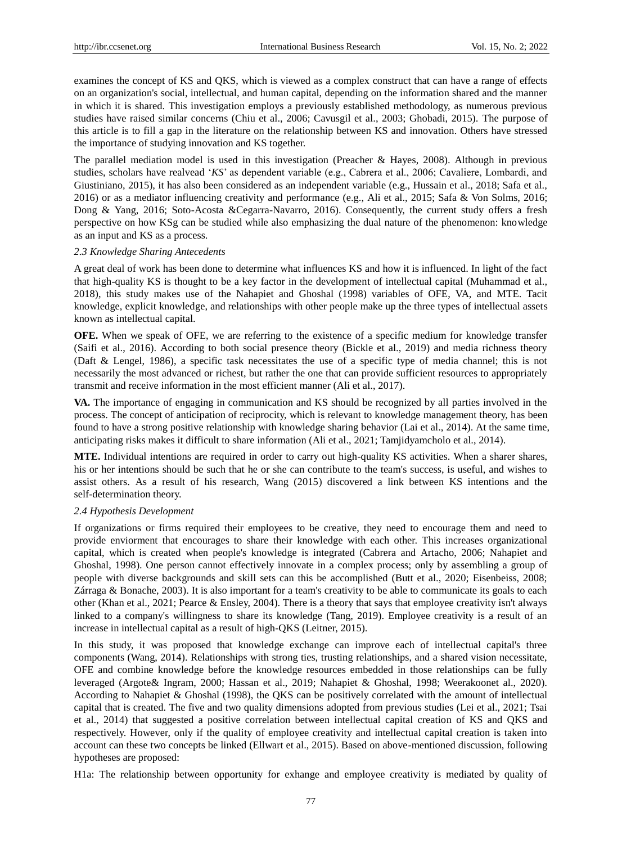examines the concept of KS and QKS, which is viewed as a complex construct that can have a range of effects on an organization's social, intellectual, and human capital, depending on the information shared and the manner in which it is shared. This investigation employs a previously established methodology, as numerous previous studies have raised similar concerns (Chiu et al., 2006; Cavusgil et al., 2003; Ghobadi, 2015). The purpose of this article is to fill a gap in the literature on the relationship between KS and innovation. Others have stressed the importance of studying innovation and KS together.

The parallel mediation model is used in this investigation (Preacher & Hayes, 2008). Although in previous studies, scholars have realvead "*KS*" as dependent variable (e.g., Cabrera et al., 2006; Cavaliere, Lombardi, and Giustiniano, 2015), it has also been considered as an independent variable (e.g., Hussain et al., 2018; Safa et al., 2016) or as a mediator influencing creativity and performance (e.g., Ali et al., 2015; Safa & Von Solms, 2016; Dong & Yang, 2016; Soto-Acosta &Cegarra-Navarro, 2016). Consequently, the current study offers a fresh perspective on how KSg can be studied while also emphasizing the dual nature of the phenomenon: knowledge as an input and KS as a process.

#### *2.3 Knowledge Sharing Antecedents*

A great deal of work has been done to determine what influences KS and how it is influenced. In light of the fact that high-quality KS is thought to be a key factor in the development of intellectual capital (Muhammad et al., 2018), this study makes use of the Nahapiet and Ghoshal (1998) variables of OFE, VA, and MTE. Tacit knowledge, explicit knowledge, and relationships with other people make up the three types of intellectual assets known as intellectual capital.

**OFE.** When we speak of OFE, we are referring to the existence of a specific medium for knowledge transfer (Saifi et al., 2016). According to both social presence theory (Bickle et al., 2019) and media richness theory (Daft & Lengel, 1986), a specific task necessitates the use of a specific type of media channel; this is not necessarily the most advanced or richest, but rather the one that can provide sufficient resources to appropriately transmit and receive information in the most efficient manner (Ali et al., 2017).

**VA.** The importance of engaging in communication and KS should be recognized by all parties involved in the process. The concept of anticipation of reciprocity, which is relevant to knowledge management theory, has been found to have a strong positive relationship with knowledge sharing behavior (Lai et al., 2014). At the same time, anticipating risks makes it difficult to share information (Ali et al., 2021; Tamjidyamcholo et al., 2014).

**MTE.** Individual intentions are required in order to carry out high-quality KS activities. When a sharer shares, his or her intentions should be such that he or she can contribute to the team's success, is useful, and wishes to assist others. As a result of his research, Wang (2015) discovered a link between KS intentions and the self-determination theory.

#### *2.4 Hypothesis Development*

If organizations or firms required their employees to be creative, they need to encourage them and need to provide enviorment that encourages to share their knowledge with each other. This increases organizational capital, which is created when people's knowledge is integrated (Cabrera and Artacho, 2006; Nahapiet and Ghoshal, 1998). One person cannot effectively innovate in a complex process; only by assembling a group of people with diverse backgrounds and skill sets can this be accomplished (Butt et al., 2020; Eisenbeiss, 2008; Zárraga & Bonache, 2003). It is also important for a team's creativity to be able to communicate its goals to each other (Khan et al., 2021; Pearce & Ensley, 2004). There is a theory that says that employee creativity isn't always linked to a company's willingness to share its knowledge (Tang, 2019). Employee creativity is a result of an increase in intellectual capital as a result of high-QKS (Leitner, 2015).

In this study, it was proposed that knowledge exchange can improve each of intellectual capital's three components (Wang, 2014). Relationships with strong ties, trusting relationships, and a shared vision necessitate, OFE and combine knowledge before the knowledge resources embedded in those relationships can be fully leveraged (Argote& Ingram, 2000; Hassan et al., 2019; Nahapiet & Ghoshal, 1998; Weerakoonet al., 2020). According to Nahapiet & Ghoshal (1998), the QKS can be positively correlated with the amount of intellectual capital that is created. The five and two quality dimensions adopted from previous studies (Lei et al., 2021; Tsai et al., 2014) that suggested a positive correlation between intellectual capital creation of KS and QKS and respectively. However, only if the quality of employee creativity and intellectual capital creation is taken into account can these two concepts be linked (Ellwart et al., 2015). Based on above-mentioned discussion, following hypotheses are proposed:

H1a: The relationship between opportunity for exhange and employee creativity is mediated by quality of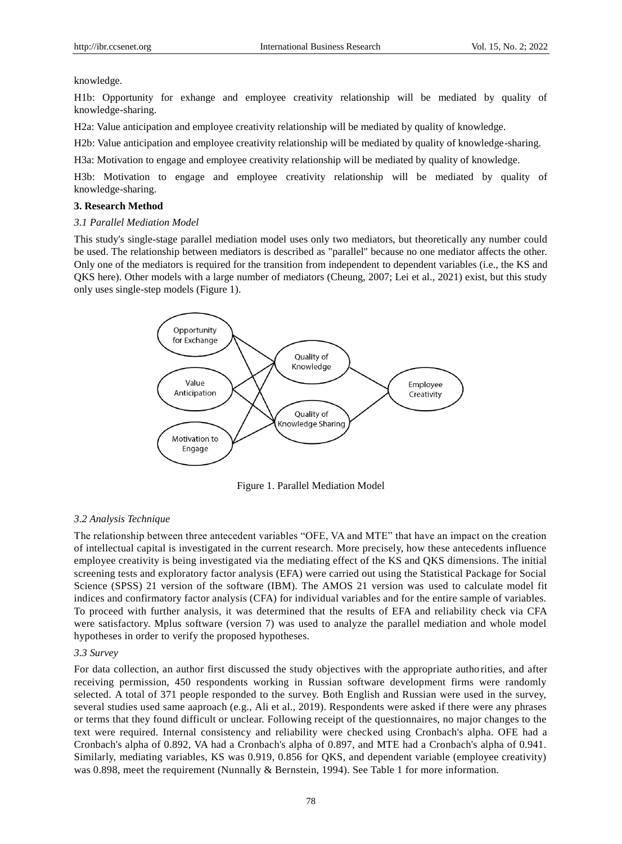#### knowledge.

H1b: Opportunity for exhange and employee creativity relationship will be mediated by quality of knowledge-sharing.

H2a: Value anticipation and employee creativity relationship will be mediated by quality of knowledge.

H2b: Value anticipation and employee creativity relationship will be mediated by quality of knowledge-sharing.

H3a: Motivation to engage and employee creativity relationship will be mediated by quality of knowledge.

H3b: Motivation to engage and employee creativity relationship will be mediated by quality of knowledge-sharing.

# **3. Research Method**

#### *3.1 Parallel Mediation Model*

This study's single-stage parallel mediation model uses only two mediators, but theoretically any number could be used. The relationship between mediators is described as "parallel" because no one mediator affects the other. Only one of the mediators is required for the transition from independent to dependent variables (i.e., the KS and QKS here). Other models with a large number of mediators (Cheung, 2007; Lei et al., 2021) exist, but this study only uses single-step models (Figure 1).



Figure 1. Parallel Mediation Model

#### *3.2 Analysis Technique*

The relationship between three antecedent variables "OFE, VA and MTE" that have an impact on the creation of intellectual capital is investigated in the current research. More precisely, how these antecedents influence employee creativity is being investigated via the mediating effect of the KS and QKS dimensions. The initial screening tests and exploratory factor analysis (EFA) were carried out using the Statistical Package for Social Science (SPSS) 21 version of the software (IBM). The AMOS 21 version was used to calculate model fit indices and confirmatory factor analysis (CFA) for individual variables and for the entire sample of variables. To proceed with further analysis, it was determined that the results of EFA and reliability check via CFA were satisfactory. Mplus software (version 7) was used to analyze the parallel mediation and whole model hypotheses in order to verify the proposed hypotheses.

# *3.3 Survey*

For data collection, an author first discussed the study objectives with the appropriate authorities, and after receiving permission, 450 respondents working in Russian software development firms were randomly selected. A total of 371 people responded to the survey. Both English and Russian were used in the survey, several studies used same aaproach (e.g., Ali et al., 2019). Respondents were asked if there were any phrases or terms that they found difficult or unclear. Following receipt of the questionnaires, no major changes to the text were required. Internal consistency and reliability were checked using Cronbach's alpha. OFE had a Cronbach's alpha of 0.892, VA had a Cronbach's alpha of 0.897, and MTE had a Cronbach's alpha of 0.941. Similarly, mediating variables, KS was 0.919, 0.856 for QKS, and dependent variable (employee creativity) was 0.898, meet the requirement (Nunnally & Bernstein, 1994). See Table 1 for more information.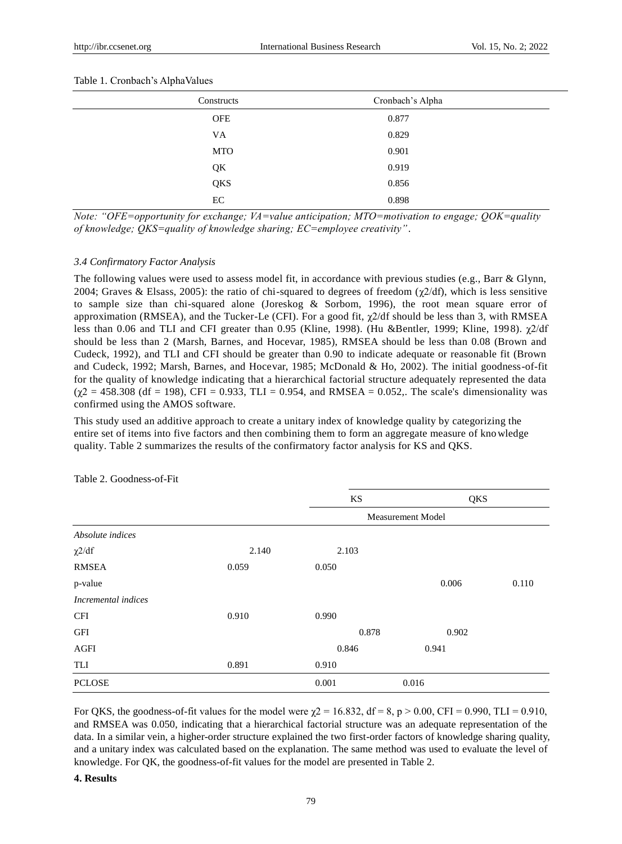#### Table 1. Cronbach"s AlphaValues

| Constructs | Cronbach's Alpha |
|------------|------------------|
| <b>OFE</b> | 0.877            |
| VA         | 0.829            |
| <b>MTO</b> | 0.901            |
| QK         | 0.919            |
| QKS        | 0.856            |
| EC         | 0.898            |

*Note: "OFE=opportunity for exchange; VA=value anticipation; MTO=motivation to engage; QOK=quality of knowledge; QKS=quality of knowledge sharing; EC=employee creativity"*.

#### *3.4 Confirmatory Factor Analysis*

The following values were used to assess model fit, in accordance with previous studies (e.g., Barr & Glynn, 2004; Graves & Elsass, 2005): the ratio of chi-squared to degrees of freedom ( $\chi$ 2/df), which is less sensitive to sample size than chi-squared alone (Joreskog & Sorbom, 1996), the root mean square error of approximation (RMSEA), and the Tucker-Le (CFI). For a good fit,  $\chi$ 2/df should be less than 3, with RMSEA less than 0.06 and TLI and CFI greater than 0.95 (Kline, 1998). (Hu &Bentler, 1999; Kline, 1998). χ2/df should be less than 2 (Marsh, Barnes, and Hocevar, 1985), RMSEA should be less than 0.08 (Brown and Cudeck, 1992), and TLI and CFI should be greater than 0.90 to indicate adequate or reasonable fit (Brown and Cudeck, 1992; Marsh, Barnes, and Hocevar, 1985; McDonald & Ho, 2002). The initial goodness-of-fit for the quality of knowledge indicating that a hierarchical factorial structure adequately represented the data  $(\chi^2 = 458.308$  (df = 198), CFI = 0.933, TLI = 0.954, and RMSEA = 0.052,. The scale's dimensionality was confirmed using the AMOS software.

This study used an additive approach to create a unitary index of knowledge quality by categorizing the entire set of items into five factors and then combining them to form an aggregate measure of knowledge quality. Table 2 summarizes the results of the confirmatory factor analysis for KS and QKS.

|                     |       | KS                       | QKS            |  |
|---------------------|-------|--------------------------|----------------|--|
|                     |       | <b>Measurement Model</b> |                |  |
| Absolute indices    |       |                          |                |  |
| $\chi$ 2/df         | 2.140 | 2.103                    |                |  |
| <b>RMSEA</b>        | 0.059 | 0.050                    |                |  |
| p-value             |       |                          | 0.006<br>0.110 |  |
| Incremental indices |       |                          |                |  |
| <b>CFI</b>          | 0.910 | 0.990                    |                |  |
| <b>GFI</b>          |       | 0.878                    | 0.902          |  |
| <b>AGFI</b>         |       | 0.846                    | 0.941          |  |
| TLI                 | 0.891 | 0.910                    |                |  |
| <b>PCLOSE</b>       |       | 0.001                    | 0.016          |  |

Table 2. Goodness-of-Fit

For QKS, the goodness-of-fit values for the model were  $\gamma$ 2 = 16.832, df = 8, p > 0.00, CFI = 0.990, TLI = 0.910, and RMSEA was 0.050, indicating that a hierarchical factorial structure was an adequate representation of the data. In a similar vein, a higher-order structure explained the two first-order factors of knowledge sharing quality, and a unitary index was calculated based on the explanation. The same method was used to evaluate the level of knowledge. For QK, the goodness-of-fit values for the model are presented in Table 2.

#### **4. Results**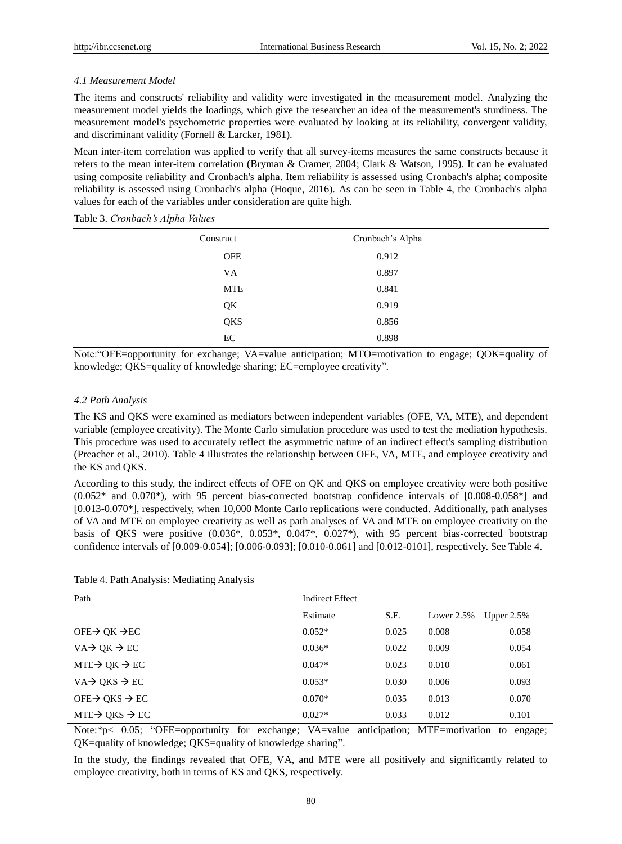# *4.1 Measurement Model*

The items and constructs' reliability and validity were investigated in the measurement model. Analyzing the measurement model yields the loadings, which give the researcher an idea of the measurement's sturdiness. The measurement model's psychometric properties were evaluated by looking at its reliability, convergent validity, and discriminant validity (Fornell & Larcker, 1981).

Mean inter-item correlation was applied to verify that all survey-items measures the same constructs because it refers to the mean inter-item correlation (Bryman & Cramer, 2004; Clark & Watson, 1995). It can be evaluated using composite reliability and Cronbach's alpha. Item reliability is assessed using Cronbach's alpha; composite reliability is assessed using Cronbach's alpha (Hoque, 2016). As can be seen in Table 4, the Cronbach's alpha values for each of the variables under consideration are quite high.

|  | Table 3. Cronbach's Alpha Values |  |
|--|----------------------------------|--|
|--|----------------------------------|--|

| Construct  | Cronbach's Alpha |  |
|------------|------------------|--|
| <b>OFE</b> | 0.912            |  |
| VA         | 0.897            |  |
| MTE        | 0.841            |  |
| QK         | 0.919            |  |
| QKS        | 0.856            |  |
| EC         | 0.898            |  |

Note: "OFE=opportunity for exchange; VA=value anticipation; MTO=motivation to engage; QOK=quality of knowledge; QKS=quality of knowledge sharing; EC=employee creativity".

#### *4.2 Path Analysis*

The KS and QKS were examined as mediators between independent variables (OFE, VA, MTE), and dependent variable (employee creativity). The Monte Carlo simulation procedure was used to test the mediation hypothesis. This procedure was used to accurately reflect the asymmetric nature of an indirect effect's sampling distribution (Preacher et al., 2010). Table 4 illustrates the relationship between OFE, VA, MTE, and employee creativity and the KS and QKS.

According to this study, the indirect effects of OFE on QK and QKS on employee creativity were both positive  $(0.052^*$  and  $0.070^*$ ), with 95 percent bias-corrected bootstrap confidence intervals of  $[0.008-0.058^*]$  and [0.013-0.070\*], respectively, when 10,000 Monte Carlo replications were conducted. Additionally, path analyses of VA and MTE on employee creativity as well as path analyses of VA and MTE on employee creativity on the basis of QKS were positive (0.036\*, 0.053\*, 0.047\*, 0.027\*), with 95 percent bias-corrected bootstrap confidence intervals of [0.009-0.054]; [0.006-0.093]; [0.010-0.061] and [0.012-0101], respectively. See Table 4.

|  | Table 4. Path Analysis: Mediating Analysis |  |
|--|--------------------------------------------|--|
|  |                                            |  |

| Path                                 | <b>Indirect Effect</b> |       |              |               |
|--------------------------------------|------------------------|-------|--------------|---------------|
|                                      | Estimate               | S.E.  | Lower $2.5%$ | Upper $2.5\%$ |
| $OFE \rightarrow OK \rightarrow EC$  | $0.052*$               | 0.025 | 0.008        | 0.058         |
| $VA \rightarrow OK \rightarrow EC$   | $0.036*$               | 0.022 | 0.009        | 0.054         |
| $MTE \rightarrow QK \rightarrow EC$  | $0.047*$               | 0.023 | 0.010        | 0.061         |
| $VA \rightarrow OKS \rightarrow EC$  | $0.053*$               | 0.030 | 0.006        | 0.093         |
| OFE→ OKS → EC                        | $0.070*$               | 0.035 | 0.013        | 0.070         |
| $MTE \rightarrow QKS \rightarrow EC$ | $0.027*$               | 0.033 | 0.012        | 0.101         |

Note:\*p< 0.05; "OFE=opportunity for exchange; VA=value anticipation; MTE=motivation to engage; QK=quality of knowledge; QKS=quality of knowledge sharing".

In the study, the findings revealed that OFE, VA, and MTE were all positively and significantly related to employee creativity, both in terms of KS and QKS, respectively.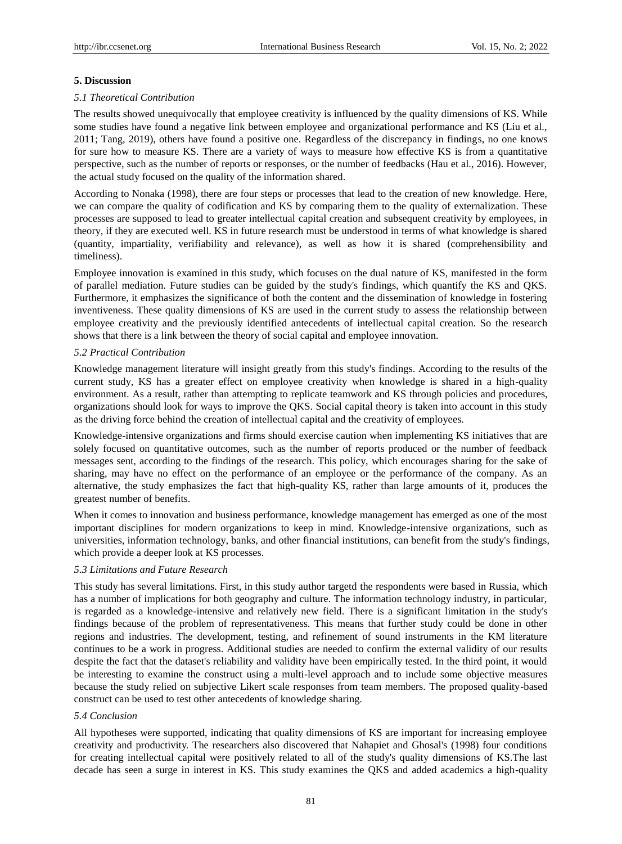#### **5. Discussion**

#### *5.1 Theoretical Contribution*

The results showed unequivocally that employee creativity is influenced by the quality dimensions of KS. While some studies have found a negative link between employee and organizational performance and KS (Liu et al., 2011; Tang, 2019), others have found a positive one. Regardless of the discrepancy in findings, no one knows for sure how to measure KS. There are a variety of ways to measure how effective KS is from a quantitative perspective, such as the number of reports or responses, or the number of feedbacks (Hau et al., 2016). However, the actual study focused on the quality of the information shared.

According to Nonaka (1998), there are four steps or processes that lead to the creation of new knowledge. Here, we can compare the quality of codification and KS by comparing them to the quality of externalization. These processes are supposed to lead to greater intellectual capital creation and subsequent creativity by employees, in theory, if they are executed well. KS in future research must be understood in terms of what knowledge is shared (quantity, impartiality, verifiability and relevance), as well as how it is shared (comprehensibility and timeliness).

Employee innovation is examined in this study, which focuses on the dual nature of KS, manifested in the form of parallel mediation. Future studies can be guided by the study's findings, which quantify the KS and QKS. Furthermore, it emphasizes the significance of both the content and the dissemination of knowledge in fostering inventiveness. These quality dimensions of KS are used in the current study to assess the relationship between employee creativity and the previously identified antecedents of intellectual capital creation. So the research shows that there is a link between the theory of social capital and employee innovation.

## *5.2 Practical Contribution*

Knowledge management literature will insight greatly from this study's findings. According to the results of the current study, KS has a greater effect on employee creativity when knowledge is shared in a high-quality environment. As a result, rather than attempting to replicate teamwork and KS through policies and procedures, organizations should look for ways to improve the QKS. Social capital theory is taken into account in this study as the driving force behind the creation of intellectual capital and the creativity of employees.

Knowledge-intensive organizations and firms should exercise caution when implementing KS initiatives that are solely focused on quantitative outcomes, such as the number of reports produced or the number of feedback messages sent, according to the findings of the research. This policy, which encourages sharing for the sake of sharing, may have no effect on the performance of an employee or the performance of the company. As an alternative, the study emphasizes the fact that high-quality KS, rather than large amounts of it, produces the greatest number of benefits.

When it comes to innovation and business performance, knowledge management has emerged as one of the most important disciplines for modern organizations to keep in mind. Knowledge-intensive organizations, such as universities, information technology, banks, and other financial institutions, can benefit from the study's findings, which provide a deeper look at KS processes.

# *5.3 Limitations and Future Research*

This study has several limitations. First, in this study author targetd the respondents were based in Russia, which has a number of implications for both geography and culture. The information technology industry, in particular, is regarded as a knowledge-intensive and relatively new field. There is a significant limitation in the study's findings because of the problem of representativeness. This means that further study could be done in other regions and industries. The development, testing, and refinement of sound instruments in the KM literature continues to be a work in progress. Additional studies are needed to confirm the external validity of our results despite the fact that the dataset's reliability and validity have been empirically tested. In the third point, it would be interesting to examine the construct using a multi-level approach and to include some objective measures because the study relied on subjective Likert scale responses from team members. The proposed quality-based construct can be used to test other antecedents of knowledge sharing.

#### *5.4 Conclusion*

All hypotheses were supported, indicating that quality dimensions of KS are important for increasing employee creativity and productivity. The researchers also discovered that Nahapiet and Ghosal's (1998) four conditions for creating intellectual capital were positively related to all of the study's quality dimensions of KS.The last decade has seen a surge in interest in KS. This study examines the QKS and added academics a high-quality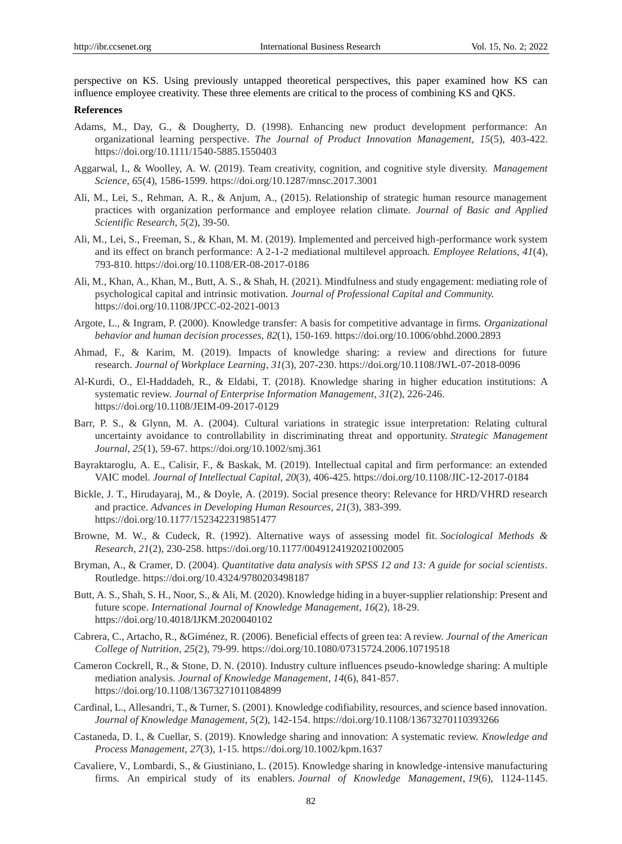perspective on KS. Using previously untapped theoretical perspectives, this paper examined how KS can influence employee creativity. These three elements are critical to the process of combining KS and QKS.

#### **References**

- Adams, M., Day, G., & Dougherty, D. (1998). Enhancing new product development performance: An organizational learning perspective. *The Journal of Product Innovation Management, 15*(5), 403-422. https://doi.org/10.1111/1540-5885.1550403
- Aggarwal, I., & Woolley, A. W. (2019). Team creativity, cognition, and cognitive style diversity. *Management Science, 65*(4), 1586-1599. https://doi.org/10.1287/mnsc.2017.3001
- Ali, M., Lei, S., Rehman, A. R., & Anjum, A., (2015). Relationship of strategic human resource management practices with organization performance and employee relation climate. *Journal of Basic and Applied Scientific Research, 5*(2), 39-50.
- Ali, M., Lei, S., Freeman, S., & Khan, M. M. (2019). Implemented and perceived high-performance work system and its effect on branch performance: A 2-1-2 mediational multilevel approach. *Employee Relations, 41*(4), 793-810. https://doi.org/10.1108/ER-08-2017-0186
- Ali, M., Khan, A., Khan, M., Butt, A. S., & Shah, H. (2021). Mindfulness and study engagement: mediating role of psychological capital and intrinsic motivation. *Journal of Professional Capital and Community.* https://doi.org/10.1108/JPCC-02-2021-0013
- Argote, L., & Ingram, P. (2000). Knowledge transfer: A basis for competitive advantage in firms. *Organizational behavior and human decision processes, 82*(1), 150-169. https://doi.org/10.1006/obhd.2000.2893
- Ahmad, F., & Karim, M. (2019). Impacts of knowledge sharing: a review and directions for future research. *Journal of Workplace Learning*, *31*(3), 207-230. https://doi.org/10.1108/JWL-07-2018-0096
- Al-Kurdi, O., El-Haddadeh, R., & Eldabi, T. (2018). Knowledge sharing in higher education institutions: A systematic review. *Journal of Enterprise Information Management*, *31*(2), 226-246. https://doi.org/10.1108/JEIM-09-2017-0129
- Barr, P. S., & Glynn, M. A. (2004). Cultural variations in strategic issue interpretation: Relating cultural uncertainty avoidance to controllability in discriminating threat and opportunity. *Strategic Management Journal*, *25*(1), 59-67. https://doi.org/10.1002/smj.361
- Bayraktaroglu, A. E., Calisir, F., & Baskak, M. (2019). Intellectual capital and firm performance: an extended VAIC model. *Journal of Intellectual Capital, 20*(3), 406-425. https://doi.org/10.1108/JIC-12-2017-0184
- Bickle, J. T., Hirudayaraj, M., & Doyle, A. (2019). Social presence theory: Relevance for HRD/VHRD research and practice. *Advances in Developing Human Resources, 21*(3), 383-399. https://doi.org/10.1177/1523422319851477
- Browne, M. W., & Cudeck, R. (1992). Alternative ways of assessing model fit. *Sociological Methods & Research*, *21*(2), 230-258. https://doi.org/10.1177/0049124192021002005
- Bryman, A., & Cramer, D. (2004). *Quantitative data analysis with SPSS 12 and 13: A guide for social scientists*. Routledge. https://doi.org/10.4324/9780203498187
- Butt, A. S., Shah, S. H., Noor, S., & Ali, M. (2020). Knowledge hiding in a buyer-supplier relationship: Present and future scope. *International Journal of Knowledge Management, 16*(2), 18-29. https://doi.org/10.4018/IJKM.2020040102
- Cabrera, C., Artacho, R., &Giménez, R. (2006). Beneficial effects of green tea: A review. *Journal of the American College of Nutrition*, *25*(2), 79-99. https://doi.org/10.1080/07315724.2006.10719518
- Cameron Cockrell, R., & Stone, D. N. (2010). Industry culture influences pseudo-knowledge sharing: A multiple mediation analysis. *Journal of Knowledge Management*, *14*(6), 841-857. https://doi.org/10.1108/13673271011084899
- Cardinal, L., Allesandri, T., & Turner, S. (2001). Knowledge codifiability, resources, and science based innovation. *Journal of Knowledge Management, 5*(2), 142-154. https://doi.org/10.1108/13673270110393266
- Castaneda, D. I., & Cuellar, S. (2019). Knowledge sharing and innovation: A systematic review. *Knowledge and Process Management, 27*(3), 1-15. https://doi.org/10.1002/kpm.1637
- Cavaliere, V., Lombardi, S., & Giustiniano, L. (2015). Knowledge sharing in knowledge-intensive manufacturing firms. An empirical study of its enablers. *Journal of Knowledge Management*, *19*(6), 1124-1145.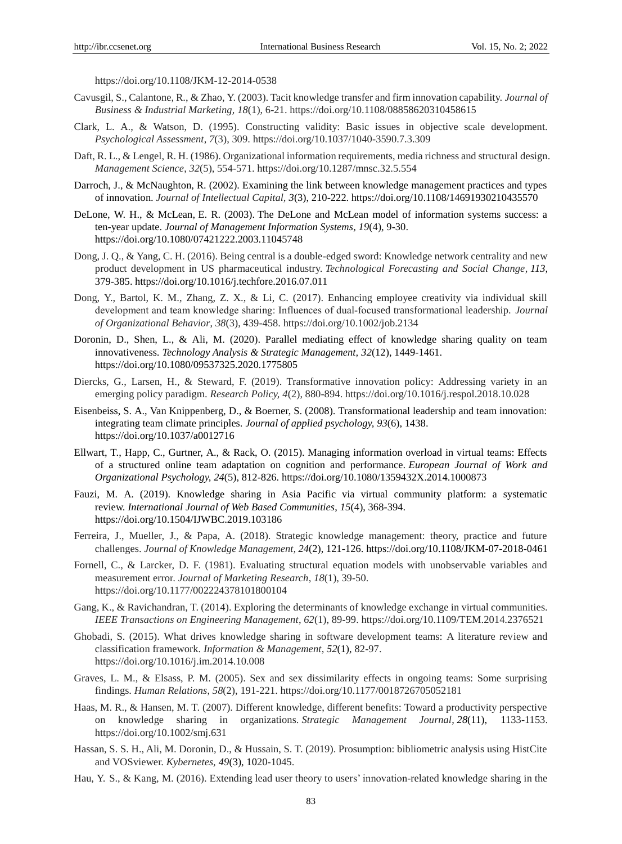https://doi.org/10.1108/JKM-12-2014-0538

- Cavusgil, S., Calantone, R., & Zhao, Y. (2003). Tacit knowledge transfer and firm innovation capability. *Journal of Business & Industrial Marketing, 18*(1), 6-21. https://doi.org/10.1108/08858620310458615
- Clark, L. A., & Watson, D. (1995). Constructing validity: Basic issues in objective scale development. *Psychological Assessment*, *7*(3), 309. https://doi.org/10.1037/1040-3590.7.3.309
- Daft, R. L., & Lengel, R. H. (1986). Organizational information requirements, media richness and structural design. *Management Science*, *32*(5), 554-571. https://doi.org/10.1287/mnsc.32.5.554
- Darroch, J., & McNaughton, R. (2002). Examining the link between knowledge management practices and types of innovation. *Journal of Intellectual Capital, 3*(3), 210-222. https://doi.org/10.1108/14691930210435570
- DeLone, W. H., & McLean, E. R. (2003). The DeLone and McLean model of information systems success: a ten-year update. *Journal of Management Information Systems, 19*(4), 9-30. https://doi.org/10.1080/07421222.2003.11045748
- Dong, J. Q., & Yang, C. H. (2016). Being central is a double-edged sword: Knowledge network centrality and new product development in US pharmaceutical industry. *Technological Forecasting and Social Change, 113,*  379-385. https://doi.org/10.1016/j.techfore.2016.07.011
- Dong, Y., Bartol, K. M., Zhang, Z. X., & Li, C. (2017). Enhancing employee creativity via individual skill development and team knowledge sharing: Influences of dual‐focused transformational leadership. *Journal of Organizational Behavior*, *38*(3), 439-458. https://doi.org/10.1002/job.2134
- Doronin, D., Shen, L., & Ali, M. (2020). Parallel mediating effect of knowledge sharing quality on team innovativeness. *Technology Analysis & Strategic Management, 32*(12), 1449-1461. https://doi.org/10.1080/09537325.2020.1775805
- Diercks, G., Larsen, H., & Steward, F. (2019). Transformative innovation policy: Addressing variety in an emerging policy paradigm. *Research Policy, 4*(2), 880-894. https://doi.org/10.1016/j.respol.2018.10.028
- Eisenbeiss, S. A., Van Knippenberg, D., & Boerner, S. (2008). Transformational leadership and team innovation: integrating team climate principles. *Journal of applied psychology, 93*(6), 1438. https://doi.org/10.1037/a0012716
- Ellwart, T., Happ, C., Gurtner, A., & Rack, O. (2015). Managing information overload in virtual teams: Effects of a structured online team adaptation on cognition and performance. *European Journal of Work and Organizational Psychology, 24*(5), 812-826. https://doi.org/10.1080/1359432X.2014.1000873
- Fauzi, M. A. (2019). Knowledge sharing in Asia Pacific via virtual community platform: a systematic review. *International Journal of Web Based Communities*, *15*(4), 368-394. https://doi.org/10.1504/IJWBC.2019.103186
- Ferreira, J., Mueller, J., & Papa, A. (2018). Strategic knowledge management: theory, practice and future challenges. *Journal of Knowledge Management, 24*(2), 121-126. https://doi.org/10.1108/JKM-07-2018-0461
- Fornell, C., & Larcker, D. F. (1981). Evaluating structural equation models with unobservable variables and measurement error. *Journal of Marketing Research*, *18*(1), 39-50. https://doi.org/10.1177/002224378101800104
- Gang, K., & Ravichandran, T. (2014). Exploring the determinants of knowledge exchange in virtual communities. *IEEE Transactions on Engineering Management*, *62*(1), 89-99. https://doi.org/10.1109/TEM.2014.2376521
- Ghobadi, S. (2015). What drives knowledge sharing in software development teams: A literature review and classification framework. *Information & Management*, *52*(1), 82-97. https://doi.org/10.1016/j.im.2014.10.008
- Graves, L. M., & Elsass, P. M. (2005). Sex and sex dissimilarity effects in ongoing teams: Some surprising findings. *Human Relations*, *58*(2), 191-221. https://doi.org/10.1177/0018726705052181
- Haas, M. R., & Hansen, M. T. (2007). Different knowledge, different benefits: Toward a productivity perspective on knowledge sharing in organizations. *Strategic Management Journal*, *28*(11), 1133-1153. https://doi.org/10.1002/smj.631
- Hassan, S. S. H., Ali, M. Doronin, D., & Hussain, S. T. (2019). Prosumption: bibliometric analysis using HistCite and VOSviewer. *Kybernetes, 49*(3), 1020-1045.
- Hau, Y. S., & Kang, M. (2016). Extending lead user theory to users" innovation-related knowledge sharing in the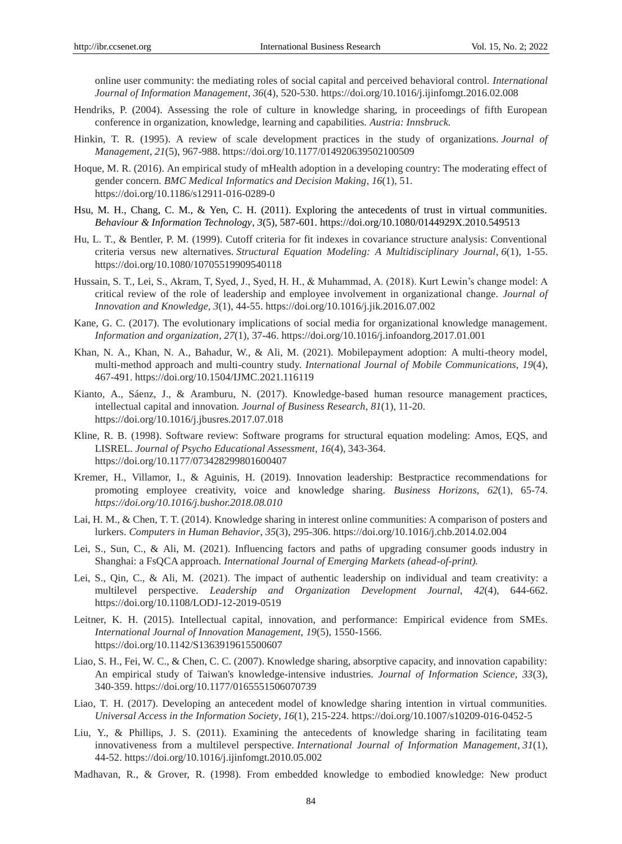online user community: the mediating roles of social capital and perceived behavioral control. *International Journal of Information Management*, *36*(4), 520-530. https://doi.org/10.1016/j.ijinfomgt.2016.02.008

- Hendriks, P. (2004). Assessing the role of culture in knowledge sharing, in proceedings of fifth European conference in organization, knowledge, learning and capabilities. *Austria: Innsbruck.*
- Hinkin, T. R. (1995). A review of scale development practices in the study of organizations. *Journal of Management*, *21*(5), 967-988. https://doi.org/10.1177/014920639502100509
- Hoque, M. R. (2016). An empirical study of mHealth adoption in a developing country: The moderating effect of gender concern. *BMC Medical Informatics and Decision Making*, *16*(1), 51. https://doi.org/10.1186/s12911-016-0289-0
- Hsu, M. H., Chang, C. M., & Yen, C. H. (2011). Exploring the antecedents of trust in virtual communities. *Behaviour & Information Technology*, *3*(5), 587-601. https://doi.org/10.1080/0144929X.2010.549513
- Hu, L. T., & Bentler, P. M. (1999). Cutoff criteria for fit indexes in covariance structure analysis: Conventional criteria versus new alternatives. *Structural Equation Modeling: A Multidisciplinary Journal*, *6*(1), 1-55. https://doi.org/10.1080/10705519909540118
- Hussain, S. T., Lei, S., Akram, T, Syed, J., Syed, H. H., & Muhammad, A. (2018). Kurt Lewin"s change model: A critical review of the role of leadership and employee involvement in organizational change. *Journal of Innovation and Knowledge, 3*(1), 44-55. https://doi.org/10.1016/j.jik.2016.07.002
- Kane, G. C. (2017). The evolutionary implications of social media for organizational knowledge management. *Information and organization*, *27*(1), 37-46. https://doi.org/10.1016/j.infoandorg.2017.01.001
- Khan, N. A., Khan, N. A., Bahadur, W., & Ali, M. (2021). Mobilepayment adoption: A multi-theory model, multi-method approach and multi-country study. *International Journal of Mobile Communications, 19*(4), 467-491. https://doi.org/10.1504/IJMC.2021.116119
- Kianto, A., Sáenz, J., & Aramburu, N. (2017). Knowledge-based human resource management practices, intellectual capital and innovation. *Journal of Business Research*, *81*(1), 11-20. https://doi.org/10.1016/j.jbusres.2017.07.018
- Kline, R. B. (1998). Software review: Software programs for structural equation modeling: Amos, EQS, and LISREL. *Journal of Psycho Educational Assessment, 16*(4), 343-364. https://doi.org/10.1177/073428299801600407
- Kremer, H., Villamor, I., & Aguinis, H. (2019). Innovation leadership: Bestpractice recommendations for promoting employee creativity, voice and knowledge sharing. *Business Horizons, 62*(1), 65-74. *https://doi.org/10.1016/j.bushor.2018.08.010*
- Lai, H. M., & Chen, T. T. (2014). Knowledge sharing in interest online communities: A comparison of posters and lurkers. *Computers in Human Behavior*, *35*(3), 295-306. https://doi.org/10.1016/j.chb.2014.02.004
- Lei, S., Sun, C., & Ali, M. (2021). Influencing factors and paths of upgrading consumer goods industry in Shanghai: a FsQCA approach. *International Journal of Emerging Markets (ahead-of-print).*
- Lei, S., Qin, C., & Ali, M. (2021). The impact of authentic leadership on individual and team creativity: a multilevel perspective. *Leadership and Organization Development Journal, 42*(4), 644-662. https://doi.org/10.1108/LODJ-12-2019-0519
- Leitner, K. H. (2015). Intellectual capital, innovation, and performance: Empirical evidence from SMEs. *International Journal of Innovation Management, 19*(5), 1550-1566. https://doi.org/10.1142/S1363919615500607
- Liao, S. H., Fei, W. C., & Chen, C. C. (2007). Knowledge sharing, absorptive capacity, and innovation capability: An empirical study of Taiwan's knowledge-intensive industries. *Journal of Information Science, 33*(3), 340-359. https://doi.org/10.1177/0165551506070739
- Liao, T. H. (2017). Developing an antecedent model of knowledge sharing intention in virtual communities. *Universal Access in the Information Society*, *16*(1), 215-224. https://doi.org/10.1007/s10209-016-0452-5
- Liu, Y., & Phillips, J. S. (2011). Examining the antecedents of knowledge sharing in facilitating team innovativeness from a multilevel perspective. *International Journal of Information Management*, *31*(1), 44-52. https://doi.org/10.1016/j.ijinfomgt.2010.05.002
- Madhavan, R., & Grover, R. (1998). From embedded knowledge to embodied knowledge: New product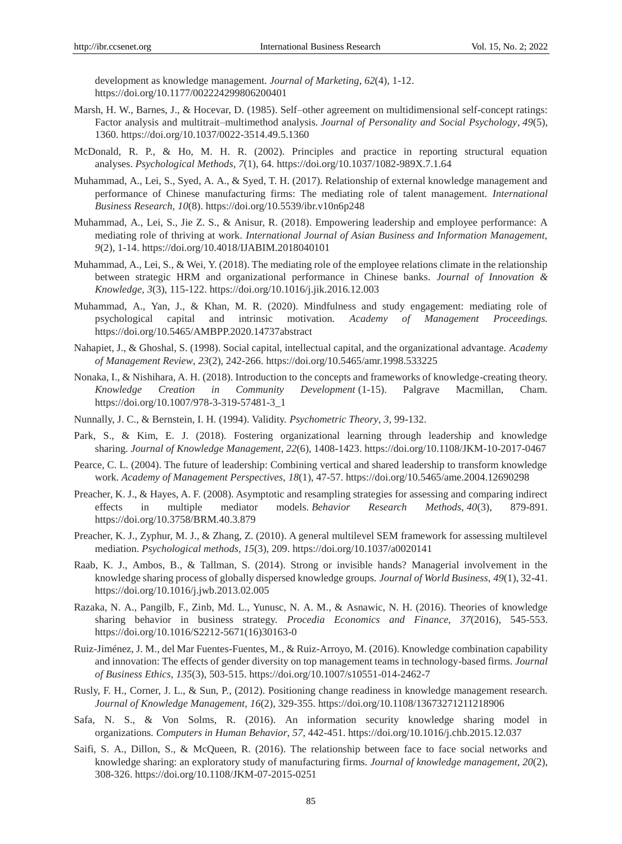development as knowledge management. *Journal of Marketing*, *62*(4), 1-12. https://doi.org/10.1177/002224299806200401

- Marsh, H. W., Barnes, J., & Hocevar, D. (1985). Self–other agreement on multidimensional self-concept ratings: Factor analysis and multitrait–multimethod analysis. *Journal of Personality and Social Psychology*, *49*(5), 1360. https://doi.org/10.1037/0022-3514.49.5.1360
- McDonald, R. P., & Ho, M. H. R. (2002). Principles and practice in reporting structural equation analyses. *Psychological Methods*, *7*(1), 64. https://doi.org/10.1037/1082-989X.7.1.64
- Muhammad, A., Lei, S., Syed, A. A., & Syed, T. H. (2017). Relationship of external knowledge management and performance of Chinese manufacturing firms: The mediating role of talent management. *International Business Research, 10*(8). https://doi.org/10.5539/ibr.v10n6p248
- Muhammad, A., Lei, S., Jie Z. S., & Anisur, R. (2018). Empowering leadership and employee performance: A mediating role of thriving at work. *International Journal of Asian Business and Information Management, 9*(2), 1-14. https://doi.org/10.4018/IJABIM.2018040101
- Muhammad, A., Lei, S., & Wei, Y. (2018). The mediating role of the employee relations climate in the relationship between strategic HRM and organizational performance in Chinese banks. *Journal of Innovation & Knowledge, 3*(3), 115-122. https://doi.org/10.1016/j.jik.2016.12.003
- Muhammad, A., Yan, J., & Khan, M. R. (2020). Mindfulness and study engagement: mediating role of psychological capital and intrinsic motivation. *Academy of Management Proceedings.* https://doi.org/10.5465/AMBPP.2020.14737abstract
- Nahapiet, J., & Ghoshal, S. (1998). Social capital, intellectual capital, and the organizational advantage. *Academy of Management Review*, *23*(2), 242-266. https://doi.org/10.5465/amr.1998.533225
- Nonaka, I., & Nishihara, A. H. (2018). Introduction to the concepts and frameworks of knowledge-creating theory. *Knowledge Creation in Community Development* (1-15). Palgrave Macmillan, Cham. https://doi.org/10.1007/978-3-319-57481-3\_1
- Nunnally, J. C., & Bernstein, I. H. (1994). Validity. *Psychometric Theory*, *3,* 99-132.
- Park, S., & Kim, E. J. (2018). Fostering organizational learning through leadership and knowledge sharing. *Journal of Knowledge Management, 22*(6), 1408-1423. https://doi.org/10.1108/JKM-10-2017-0467
- Pearce, C. L. (2004). The future of leadership: Combining vertical and shared leadership to transform knowledge work. *Academy of Management Perspectives, 18*(1), 47-57. https://doi.org/10.5465/ame.2004.12690298
- Preacher, K. J., & Hayes, A. F. (2008). Asymptotic and resampling strategies for assessing and comparing indirect effects in multiple mediator models. *Behavior Research Methods*, *40*(3), 879-891. https://doi.org/10.3758/BRM.40.3.879
- Preacher, K. J., Zyphur, M. J., & Zhang, Z. (2010). A general multilevel SEM framework for assessing multilevel mediation. *Psychological methods, 15*(3), 209. https://doi.org/10.1037/a0020141
- Raab, K. J., Ambos, B., & Tallman, S. (2014). Strong or invisible hands? Managerial involvement in the knowledge sharing process of globally dispersed knowledge groups. *Journal of World Business*, *49*(1), 32-41. https://doi.org/10.1016/j.jwb.2013.02.005
- Razaka, N. A., Pangilb, F., Zinb, Md. L., Yunusc, N. A. M., & Asnawic, N. H. (2016). Theories of knowledge sharing behavior in business strategy. *Procedia Economics and Finance, 37*(2016), 545-553. https://doi.org/10.1016/S2212-5671(16)30163-0
- Ruiz-Jiménez, J. M., del Mar Fuentes-Fuentes, M., & Ruiz-Arroyo, M. (2016). Knowledge combination capability and innovation: The effects of gender diversity on top management teams in technology-based firms. *Journal of Business Ethics*, *135*(3), 503-515. https://doi.org/10.1007/s10551-014-2462-7
- Rusly, F. H., Corner, J. L., & Sun, P., (2012). Positioning change readiness in knowledge management research. *Journal of Knowledge Management, 16*(2), 329-355. https://doi.org/10.1108/13673271211218906
- Safa, N. S., & Von Solms, R. (2016). An information security knowledge sharing model in organizations. *Computers in Human Behavior*, *57,* 442-451. https://doi.org/10.1016/j.chb.2015.12.037
- Saifi, S. A., Dillon, S., & McQueen, R. (2016). The relationship between face to face social networks and knowledge sharing: an exploratory study of manufacturing firms. *Journal of knowledge management, 20*(2), 308-326. https://doi.org/10.1108/JKM-07-2015-0251